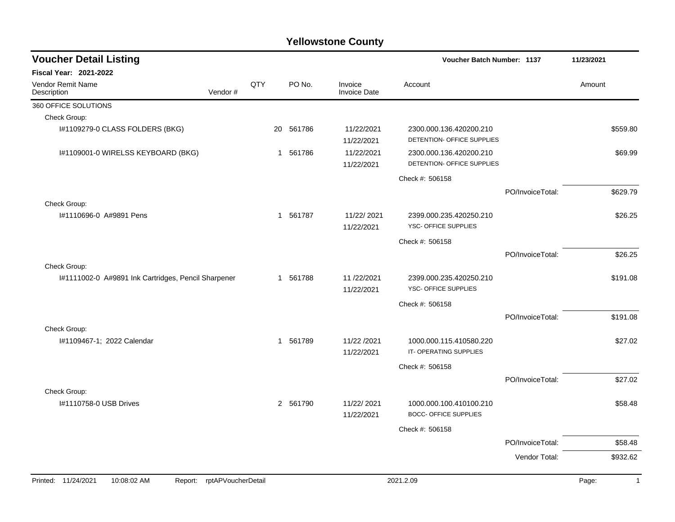| <b>Voucher Detail Listing</b>                       |                    |             |                        |                                | Voucher Batch Number: 1137                              |                  | 11/23/2021            |
|-----------------------------------------------------|--------------------|-------------|------------------------|--------------------------------|---------------------------------------------------------|------------------|-----------------------|
| <b>Fiscal Year: 2021-2022</b>                       |                    |             |                        |                                |                                                         |                  |                       |
| Vendor Remit Name<br>Description                    | Vendor#            | QTY         | PO No.                 | Invoice<br><b>Invoice Date</b> | Account                                                 |                  | Amount                |
| 360 OFFICE SOLUTIONS                                |                    |             |                        |                                |                                                         |                  |                       |
| Check Group:                                        |                    |             |                        |                                |                                                         |                  |                       |
| I#1109279-0 CLASS FOLDERS (BKG)                     |                    |             | 20 561786              | 11/22/2021<br>11/22/2021       | 2300.000.136.420200.210<br>DETENTION- OFFICE SUPPLIES   |                  | \$559.80              |
| I#1109001-0 WIRELSS KEYBOARD (BKG)                  |                    |             | 561786<br>$\mathbf{1}$ | 11/22/2021<br>11/22/2021       | 2300.000.136.420200.210<br>DETENTION- OFFICE SUPPLIES   |                  | \$69.99               |
|                                                     |                    |             |                        |                                | Check #: 506158                                         |                  |                       |
|                                                     |                    |             |                        |                                |                                                         | PO/InvoiceTotal: | \$629.79              |
| Check Group:                                        |                    |             |                        |                                |                                                         |                  |                       |
| #1110696-0 A#9891 Pens                              |                    |             | 561787<br>$\mathbf{1}$ | 11/22/2021<br>11/22/2021       | 2399.000.235.420250.210<br>YSC- OFFICE SUPPLIES         |                  | \$26.25               |
|                                                     |                    |             |                        |                                | Check #: 506158                                         |                  |                       |
|                                                     |                    |             |                        |                                |                                                         | PO/InvoiceTotal: | \$26.25               |
| Check Group:                                        |                    |             |                        |                                |                                                         |                  |                       |
| I#1111002-0 A#9891 Ink Cartridges, Pencil Sharpener |                    |             | 561788<br>1            | 11/22/2021<br>11/22/2021       | 2399.000.235.420250.210<br>YSC- OFFICE SUPPLIES         |                  | \$191.08              |
|                                                     |                    |             |                        |                                | Check #: 506158                                         |                  |                       |
|                                                     |                    |             |                        |                                |                                                         | PO/InvoiceTotal: | \$191.08              |
| Check Group:                                        |                    |             |                        |                                |                                                         |                  |                       |
| #1109467-1; 2022 Calendar                           |                    | $\mathbf 1$ | 561789                 | 11/22 /2021<br>11/22/2021      | 1000.000.115.410580.220<br>IT-OPERATING SUPPLIES        |                  | \$27.02               |
|                                                     |                    |             |                        |                                | Check #: 506158                                         |                  |                       |
|                                                     |                    |             |                        |                                |                                                         | PO/InvoiceTotal: | \$27.02               |
| Check Group:                                        |                    |             |                        |                                |                                                         |                  |                       |
| I#1110758-0 USB Drives                              |                    |             | 2 561790               | 11/22/2021<br>11/22/2021       | 1000.000.100.410100.210<br><b>BOCC- OFFICE SUPPLIES</b> |                  | \$58.48               |
|                                                     |                    |             |                        |                                | Check #: 506158                                         |                  |                       |
|                                                     |                    |             |                        |                                |                                                         | PO/InvoiceTotal: | \$58.48               |
|                                                     |                    |             |                        |                                |                                                         | Vendor Total:    | \$932.62              |
|                                                     |                    |             |                        |                                |                                                         |                  |                       |
| Printed: 11/24/2021<br>10:08:02 AM<br>Report:       | rptAPVoucherDetail |             |                        |                                | 2021.2.09                                               |                  | Page:<br>$\mathbf{1}$ |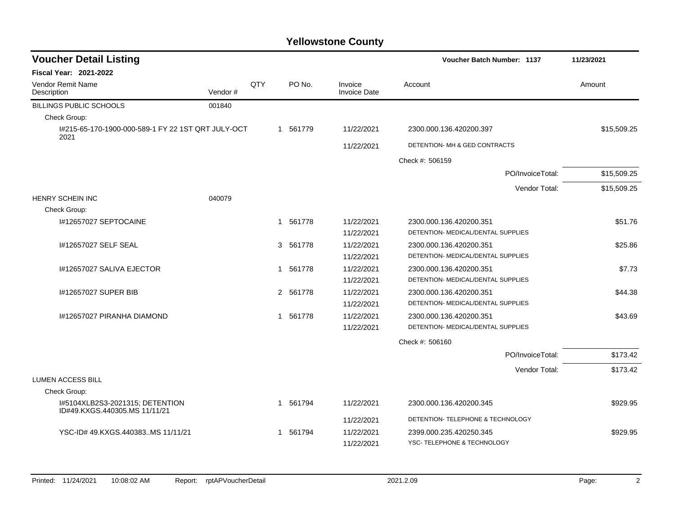| <b>Voucher Detail Listing</b>                                    |         |     |             |                         | <b>Voucher Batch Number: 1137</b>  | 11/23/2021  |
|------------------------------------------------------------------|---------|-----|-------------|-------------------------|------------------------------------|-------------|
| <b>Fiscal Year: 2021-2022</b>                                    |         |     |             |                         |                                    |             |
| <b>Vendor Remit Name</b><br>Description                          | Vendor# | QTY | PO No.      | Invoice<br>Invoice Date | Account                            | Amount      |
| BILLINGS PUBLIC SCHOOLS                                          | 001840  |     |             |                         |                                    |             |
| Check Group:                                                     |         |     |             |                         |                                    |             |
| I#215-65-170-1900-000-589-1 FY 22 1ST QRT JULY-OCT<br>2021       |         |     | 1 561779    | 11/22/2021              | 2300.000.136.420200.397            | \$15,509.25 |
|                                                                  |         |     |             | 11/22/2021              | DETENTION- MH & GED CONTRACTS      |             |
|                                                                  |         |     |             |                         | Check #: 506159                    |             |
|                                                                  |         |     |             |                         | PO/InvoiceTotal:                   | \$15,509.25 |
|                                                                  |         |     |             |                         | Vendor Total:                      | \$15,509.25 |
| <b>HENRY SCHEIN INC</b>                                          | 040079  |     |             |                         |                                    |             |
| Check Group:                                                     |         |     |             |                         |                                    |             |
| 1#12657027 SEPTOCAINE                                            |         |     | 1 561778    | 11/22/2021              | 2300.000.136.420200.351            | \$51.76     |
|                                                                  |         |     |             | 11/22/2021              | DETENTION- MEDICAL/DENTAL SUPPLIES |             |
| #12657027 SELF SEAL                                              |         |     | 3<br>561778 | 11/22/2021              | 2300.000.136.420200.351            | \$25.86     |
|                                                                  |         |     |             | 11/22/2021              | DETENTION- MEDICAL/DENTAL SUPPLIES |             |
| I#12657027 SALIVA EJECTOR                                        |         |     | 1 561778    | 11/22/2021              | 2300.000.136.420200.351            | \$7.73      |
|                                                                  |         |     |             | 11/22/2021              | DETENTION- MEDICAL/DENTAL SUPPLIES |             |
| 1#12657027 SUPER BIB                                             |         |     | 2 561778    | 11/22/2021              | 2300.000.136.420200.351            | \$44.38     |
|                                                                  |         |     |             | 11/22/2021              | DETENTION- MEDICAL/DENTAL SUPPLIES |             |
| 1#12657027 PIRANHA DIAMOND                                       |         |     | 1 561778    | 11/22/2021              | 2300.000.136.420200.351            | \$43.69     |
|                                                                  |         |     |             | 11/22/2021              | DETENTION- MEDICAL/DENTAL SUPPLIES |             |
|                                                                  |         |     |             |                         | Check #: 506160                    |             |
|                                                                  |         |     |             |                         | PO/InvoiceTotal:                   | \$173.42    |
|                                                                  |         |     |             |                         | Vendor Total:                      | \$173.42    |
| <b>LUMEN ACCESS BILL</b>                                         |         |     |             |                         |                                    |             |
| Check Group:                                                     |         |     |             |                         |                                    |             |
| I#5104XLB2S3-2021315; DETENTION<br>ID#49.KXGS.440305.MS 11/11/21 |         |     | 1 561794    | 11/22/2021              | 2300.000.136.420200.345            | \$929.95    |
|                                                                  |         |     |             | 11/22/2021              | DETENTION- TELEPHONE & TECHNOLOGY  |             |
| YSC-ID#49.KXGS.440383MS 11/11/21                                 |         |     | 1 561794    | 11/22/2021              | 2399.000.235.420250.345            | \$929.95    |
|                                                                  |         |     |             | 11/22/2021              | YSC-TELEPHONE & TECHNOLOGY         |             |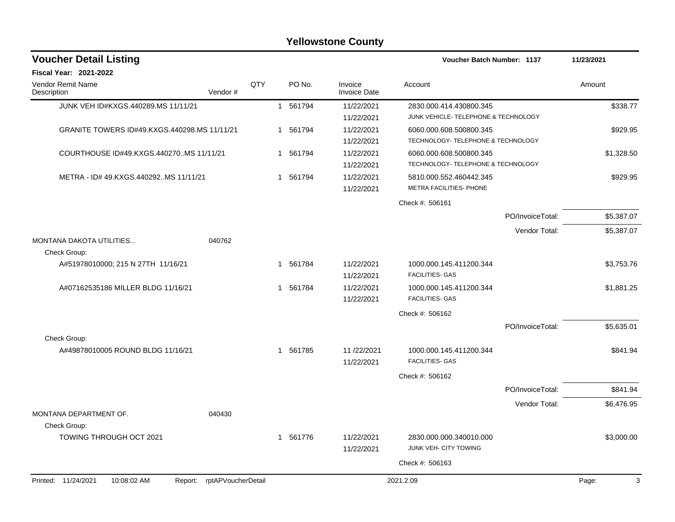| <b>Voucher Detail Listing</b>                    |                    |              |          |                                | Voucher Batch Number: 1137                                      |                  | 11/23/2021 |
|--------------------------------------------------|--------------------|--------------|----------|--------------------------------|-----------------------------------------------------------------|------------------|------------|
| Fiscal Year: 2021-2022                           |                    |              |          |                                |                                                                 |                  |            |
| <b>Vendor Remit Name</b><br>Description          | QTY<br>Vendor#     |              | PO No.   | Invoice<br><b>Invoice Date</b> | Account                                                         |                  | Amount     |
| JUNK VEH ID#KXGS.440289.MS 11/11/21              |                    |              | 1 561794 | 11/22/2021<br>11/22/2021       | 2830.000.414.430800.345<br>JUNK VEHICLE- TELEPHONE & TECHNOLOGY |                  | \$338.77   |
| GRANITE TOWERS ID#49.KXGS.440298.MS 11/11/21     |                    |              | 1 561794 | 11/22/2021<br>11/22/2021       | 6060.000.608.500800.345<br>TECHNOLOGY- TELEPHONE & TECHNOLOGY   |                  | \$929.95   |
| COURTHOUSE ID#49.KXGS.440270MS 11/11/21          |                    |              | 1 561794 | 11/22/2021<br>11/22/2021       | 6060.000.608.500800.345<br>TECHNOLOGY- TELEPHONE & TECHNOLOGY   |                  | \$1,328.50 |
| METRA - ID# 49.KXGS.440292MS 11/11/21            |                    | 1            | 561794   | 11/22/2021<br>11/22/2021       | 5810.000.552.460442.345<br>METRA FACILITIES- PHONE              |                  | \$929.95   |
|                                                  |                    |              |          |                                | Check #: 506161                                                 |                  |            |
|                                                  |                    |              |          |                                |                                                                 | PO/InvoiceTotal: | \$5,387.07 |
| <b>MONTANA DAKOTA UTILITIES</b><br>040762        |                    |              |          |                                |                                                                 | Vendor Total:    | \$5,387.07 |
| Check Group:                                     |                    |              |          |                                |                                                                 |                  |            |
| A#51978010000; 215 N 27TH 11/16/21               |                    | $\mathbf{1}$ | 561784   | 11/22/2021<br>11/22/2021       | 1000.000.145.411200.344<br><b>FACILITIES- GAS</b>               |                  | \$3,753.76 |
| A#07162535186 MILLER BLDG 11/16/21               |                    | $\mathbf 1$  | 561784   | 11/22/2021<br>11/22/2021       | 1000.000.145.411200.344<br><b>FACILITIES- GAS</b>               |                  | \$1,881.25 |
|                                                  |                    |              |          |                                | Check #: 506162                                                 |                  |            |
|                                                  |                    |              |          |                                |                                                                 | PO/InvoiceTotal: | \$5,635.01 |
| Check Group:                                     |                    |              |          |                                |                                                                 |                  |            |
| A#49878010005 ROUND BLDG 11/16/21                |                    |              | 1 561785 | 11/22/2021<br>11/22/2021       | 1000.000.145.411200.344<br><b>FACILITIES- GAS</b>               |                  | \$841.94   |
|                                                  |                    |              |          |                                | Check #: 506162                                                 |                  |            |
|                                                  |                    |              |          |                                |                                                                 | PO/InvoiceTotal: | \$841.94   |
|                                                  |                    |              |          |                                |                                                                 | Vendor Total:    | \$6,476.95 |
| MONTANA DEPARTMENT OF.<br>040430<br>Check Group: |                    |              |          |                                |                                                                 |                  |            |
| <b>TOWING THROUGH OCT 2021</b>                   |                    |              | 1 561776 | 11/22/2021<br>11/22/2021       | 2830.000.000.340010.000<br>JUNK VEH- CITY TOWING                |                  | \$3,000.00 |
|                                                  |                    |              |          |                                | Check #: 506163                                                 |                  |            |
| Printed: 11/24/2021<br>10:08:02 AM<br>Report:    | rptAPVoucherDetail |              |          |                                | 2021.2.09                                                       |                  | Page:<br>3 |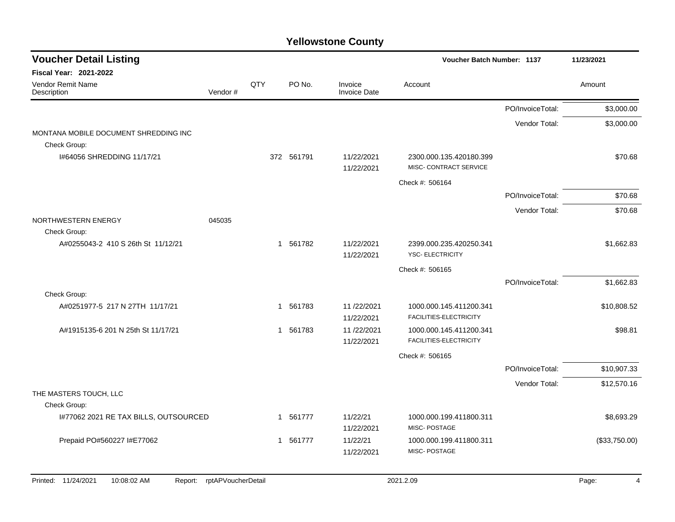| <b>Voucher Detail Listing</b>                         |                    |     |            |                                | Voucher Batch Number: 1137                        |                  | 11/23/2021    |
|-------------------------------------------------------|--------------------|-----|------------|--------------------------------|---------------------------------------------------|------------------|---------------|
| <b>Fiscal Year: 2021-2022</b>                         |                    |     |            |                                |                                                   |                  |               |
| Vendor Remit Name<br>Description                      | Vendor#            | QTY | PO No.     | Invoice<br><b>Invoice Date</b> | Account                                           |                  | Amount        |
|                                                       |                    |     |            |                                |                                                   | PO/InvoiceTotal: | \$3,000.00    |
|                                                       |                    |     |            |                                |                                                   | Vendor Total:    | \$3,000.00    |
| MONTANA MOBILE DOCUMENT SHREDDING INC<br>Check Group: |                    |     |            |                                |                                                   |                  |               |
| I#64056 SHREDDING 11/17/21                            |                    |     | 372 561791 | 11/22/2021<br>11/22/2021       | 2300.000.135.420180.399<br>MISC- CONTRACT SERVICE |                  | \$70.68       |
|                                                       |                    |     |            |                                | Check #: 506164                                   |                  |               |
|                                                       |                    |     |            |                                |                                                   | PO/InvoiceTotal: | \$70.68       |
|                                                       |                    |     |            |                                |                                                   | Vendor Total:    | \$70.68       |
| NORTHWESTERN ENERGY                                   | 045035             |     |            |                                |                                                   |                  |               |
| Check Group:<br>A#0255043-2 410 S 26th St 11/12/21    |                    |     | 1 561782   | 11/22/2021                     | 2399.000.235.420250.341                           |                  | \$1,662.83    |
|                                                       |                    |     |            | 11/22/2021                     | YSC- ELECTRICITY                                  |                  |               |
|                                                       |                    |     |            |                                | Check #: 506165                                   |                  |               |
|                                                       |                    |     |            |                                |                                                   | PO/InvoiceTotal: | \$1,662.83    |
| Check Group:                                          |                    |     |            |                                |                                                   |                  |               |
| A#0251977-5 217 N 27TH 11/17/21                       |                    | 1   | 561783     | 11/22/2021<br>11/22/2021       | 1000.000.145.411200.341<br>FACILITIES-ELECTRICITY |                  | \$10,808.52   |
| A#1915135-6 201 N 25th St 11/17/21                    |                    |     | 1 561783   | 11/22/2021                     | 1000.000.145.411200.341                           |                  | \$98.81       |
|                                                       |                    |     |            | 11/22/2021                     | FACILITIES-ELECTRICITY                            |                  |               |
|                                                       |                    |     |            |                                | Check #: 506165                                   |                  |               |
|                                                       |                    |     |            |                                |                                                   | PO/InvoiceTotal: | \$10,907.33   |
|                                                       |                    |     |            |                                |                                                   | Vendor Total:    | \$12,570.16   |
| THE MASTERS TOUCH, LLC                                |                    |     |            |                                |                                                   |                  |               |
| Check Group:                                          |                    |     |            |                                |                                                   |                  |               |
| I#77062 2021 RE TAX BILLS, OUTSOURCED                 |                    |     | 1 561777   | 11/22/21<br>11/22/2021         | 1000.000.199.411800.311<br>MISC-POSTAGE           |                  | \$8,693.29    |
| Prepaid PO#560227 I#E77062                            |                    |     | 1 561777   | 11/22/21                       | 1000.000.199.411800.311                           |                  | (\$33,750.00) |
|                                                       |                    |     |            | 11/22/2021                     | MISC-POSTAGE                                      |                  |               |
|                                                       |                    |     |            |                                |                                                   |                  |               |
| Printed: 11/24/2021<br>10:08:02 AM<br>Report:         | rptAPVoucherDetail |     |            |                                | 2021.2.09                                         |                  | Page:<br>4    |